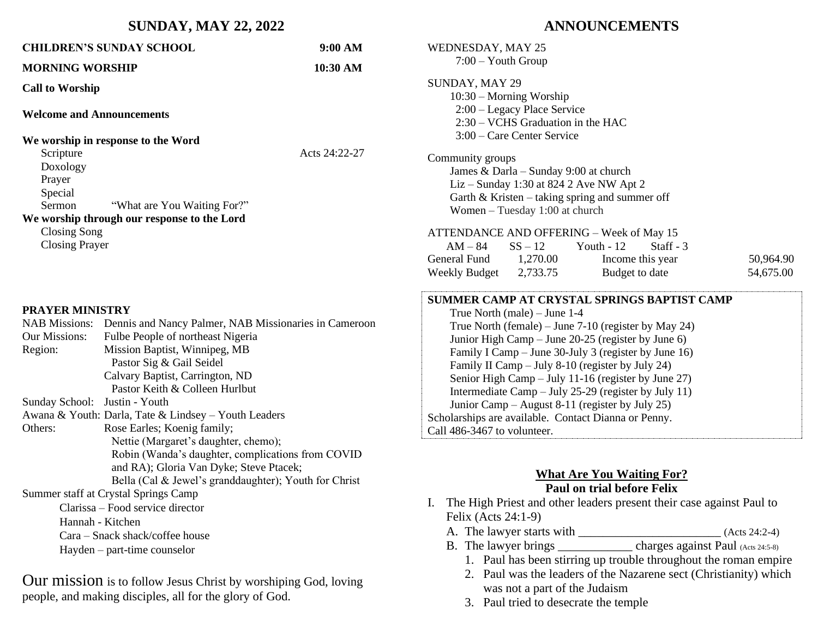#### **SUNDAY, MAY 22, 2022**

## **CHILDREN'S SUNDAY SCHOOL 9:00 AM MORNING WORSHIP 10:30 AM Call to Worship Welcome and Announcements We worship in response to the Word**  Scripture Acts 24:22-27 Doxology Prayer Special Sermon "What are You Waiting For?" **We worship through our response to the Lord** Closing Song Closing Prayer **PRAYER MINISTRY** NAB Missions: Dennis and Nancy Palmer, NAB Missionaries in Cameroon Our Missions: Fulbe People of northeast Nigeria Region: Mission Baptist, Winnipeg, MB Pastor Sig & Gail Seidel Calvary Baptist, Carrington, ND Pastor Keith & Colleen Hurlbut Sunday School: Justin - Youth Awana & Youth: Darla, Tate & Lindsey – Youth Leaders Others: Rose Earles; Koenig family; Nettie (Margaret's daughter, chemo); Robin (Wanda's daughter, complications from COVID and RA); Gloria Van Dyke; Steve Ptacek; Bella (Cal & Jewel's granddaughter); Youth for Christ Summer staff at Crystal Springs Camp Clarissa – Food service director Hannah - Kitchen Cara – Snack shack/coffee house Hayden – part-time counselor

Our mission is to follow Jesus Christ by worshiping God, loving people, and making disciples, all for the glory of God.

## **ANNOUNCEMENTS**

| <b>WEDNESDAY, MAY 25</b><br>$7:00 -$ Youth Group |                                                                                                                                   |                                                                                                                                                                                                                                                                                                                                                                                                                                                                                                 |                        |
|--------------------------------------------------|-----------------------------------------------------------------------------------------------------------------------------------|-------------------------------------------------------------------------------------------------------------------------------------------------------------------------------------------------------------------------------------------------------------------------------------------------------------------------------------------------------------------------------------------------------------------------------------------------------------------------------------------------|------------------------|
| SUNDAY, MAY 29                                   | $10:30$ – Morning Worship<br>$2:00$ – Legacy Place Service<br>$2:30 - VCHS$ Graduation in the HAC<br>$3:00$ – Care Center Service |                                                                                                                                                                                                                                                                                                                                                                                                                                                                                                 |                        |
| Community groups                                 | Women $-$ Tuesday 1:00 at church                                                                                                  | James & Darla – Sunday 9:00 at church<br>Liz – Sunday 1:30 at 824 2 Ave NW Apt 2<br>Garth & Kristen - taking spring and summer off                                                                                                                                                                                                                                                                                                                                                              |                        |
|                                                  |                                                                                                                                   | <b>ATTENDANCE AND OFFERING - Week of May 15</b>                                                                                                                                                                                                                                                                                                                                                                                                                                                 |                        |
|                                                  | $AM-84$ $SS-12$ Youth - 12                                                                                                        | Staff - $3$                                                                                                                                                                                                                                                                                                                                                                                                                                                                                     |                        |
| General Fund 1,270.00<br>Weekly Budget 2,733.75  |                                                                                                                                   | Income this year<br>Budget to date                                                                                                                                                                                                                                                                                                                                                                                                                                                              | 50,964.90<br>54,675.00 |
| Call 486-3467 to volunteer.                      | True North (male) - June 1-4                                                                                                      | SUMMER CAMP AT CRYSTAL SPRINGS BAPTIST CAMP<br>True North (female) – June 7-10 (register by May 24)<br>Junior High Camp - June 20-25 (register by June 6)<br>Family I Camp - June 30-July 3 (register by June 16)<br>Family II Camp - July 8-10 (register by July 24)<br>Senior High Camp - July 11-16 (register by June 27)<br>Intermediate Camp - July 25-29 (register by July 11)<br>Junior Camp – August 8-11 (register by July 25)<br>Scholarships are available. Contact Dianna or Penny. |                        |

### **What Are You Waiting For? Paul on trial before Felix**

- I. The High Priest and other leaders present their case against Paul to Felix (Acts 24:1-9)
	- A. The lawyer starts with  $(Acts 24:2-4)$
	- B. The lawyer brings \_\_\_\_\_\_\_\_\_\_ charges against Paul (Acts 24:5-8)
		- 1. Paul has been stirring up trouble throughout the roman empire
		- 2. Paul was the leaders of the Nazarene sect (Christianity) which was not a part of the Judaism
		- 3. Paul tried to desecrate the temple